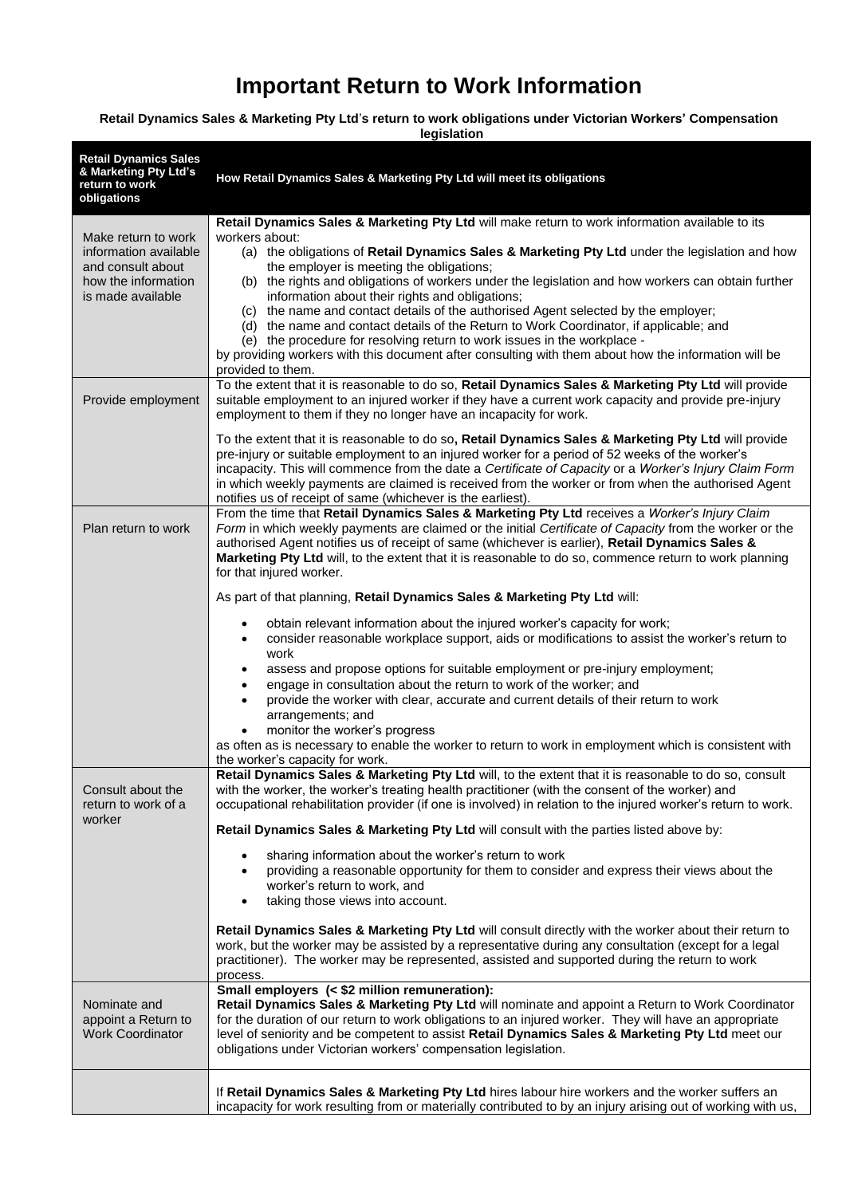# **Important Return to Work Information**

## **Retail Dynamics Sales & Marketing Pty Ltd**'**s return to work obligations under Victorian Workers' Compensation**

| legislation                                                                                                   |                                                                                                                                                                                                                                                                                                                                                                                                                                                                                                                                                                                                                                                                                                                                                                                                                                                                                                                                                                                                                       |
|---------------------------------------------------------------------------------------------------------------|-----------------------------------------------------------------------------------------------------------------------------------------------------------------------------------------------------------------------------------------------------------------------------------------------------------------------------------------------------------------------------------------------------------------------------------------------------------------------------------------------------------------------------------------------------------------------------------------------------------------------------------------------------------------------------------------------------------------------------------------------------------------------------------------------------------------------------------------------------------------------------------------------------------------------------------------------------------------------------------------------------------------------|
| <b>Retail Dynamics Sales</b><br>& Marketing Pty Ltd's<br>return to work<br>obligations                        | How Retail Dynamics Sales & Marketing Pty Ltd will meet its obligations                                                                                                                                                                                                                                                                                                                                                                                                                                                                                                                                                                                                                                                                                                                                                                                                                                                                                                                                               |
| Make return to work<br>information available<br>and consult about<br>how the information<br>is made available | Retail Dynamics Sales & Marketing Pty Ltd will make return to work information available to its<br>workers about:<br>(a) the obligations of Retail Dynamics Sales & Marketing Pty Ltd under the legislation and how<br>the employer is meeting the obligations;<br>(b) the rights and obligations of workers under the legislation and how workers can obtain further<br>information about their rights and obligations;<br>(c) the name and contact details of the authorised Agent selected by the employer;<br>(d) the name and contact details of the Return to Work Coordinator, if applicable; and<br>(e) the procedure for resolving return to work issues in the workplace -<br>by providing workers with this document after consulting with them about how the information will be<br>provided to them.                                                                                                                                                                                                     |
| Provide employment                                                                                            | To the extent that it is reasonable to do so, Retail Dynamics Sales & Marketing Pty Ltd will provide<br>suitable employment to an injured worker if they have a current work capacity and provide pre-injury<br>employment to them if they no longer have an incapacity for work.<br>To the extent that it is reasonable to do so, Retail Dynamics Sales & Marketing Pty Ltd will provide<br>pre-injury or suitable employment to an injured worker for a period of 52 weeks of the worker's<br>incapacity. This will commence from the date a Certificate of Capacity or a Worker's Injury Claim Form<br>in which weekly payments are claimed is received from the worker or from when the authorised Agent<br>notifies us of receipt of same (whichever is the earliest).                                                                                                                                                                                                                                           |
| Plan return to work                                                                                           | From the time that Retail Dynamics Sales & Marketing Pty Ltd receives a Worker's Injury Claim<br>Form in which weekly payments are claimed or the initial Certificate of Capacity from the worker or the<br>authorised Agent notifies us of receipt of same (whichever is earlier), Retail Dynamics Sales &<br>Marketing Pty Ltd will, to the extent that it is reasonable to do so, commence return to work planning<br>for that injured worker.                                                                                                                                                                                                                                                                                                                                                                                                                                                                                                                                                                     |
|                                                                                                               | As part of that planning, Retail Dynamics Sales & Marketing Pty Ltd will:<br>obtain relevant information about the injured worker's capacity for work;<br>$\bullet$<br>consider reasonable workplace support, aids or modifications to assist the worker's return to<br>$\bullet$<br>work<br>assess and propose options for suitable employment or pre-injury employment;<br>$\bullet$<br>engage in consultation about the return to work of the worker; and<br>$\bullet$<br>provide the worker with clear, accurate and current details of their return to work<br>$\bullet$<br>arrangements; and<br>monitor the worker's progress<br>$\bullet$<br>as often as is necessary to enable the worker to return to work in employment which is consistent with<br>the worker's capacity for work.                                                                                                                                                                                                                         |
| Consult about the<br>return to work of a<br>worker                                                            | Retail Dynamics Sales & Marketing Pty Ltd will, to the extent that it is reasonable to do so, consult<br>with the worker, the worker's treating health practitioner (with the consent of the worker) and<br>occupational rehabilitation provider (if one is involved) in relation to the injured worker's return to work.<br>Retail Dynamics Sales & Marketing Pty Ltd will consult with the parties listed above by:<br>sharing information about the worker's return to work<br>$\bullet$<br>providing a reasonable opportunity for them to consider and express their views about the<br>$\bullet$<br>worker's return to work, and<br>taking those views into account.<br>$\bullet$<br>Retail Dynamics Sales & Marketing Pty Ltd will consult directly with the worker about their return to<br>work, but the worker may be assisted by a representative during any consultation (except for a legal<br>practitioner). The worker may be represented, assisted and supported during the return to work<br>process. |
| Nominate and<br>appoint a Return to<br><b>Work Coordinator</b>                                                | Small employers (< \$2 million remuneration):<br>Retail Dynamics Sales & Marketing Pty Ltd will nominate and appoint a Return to Work Coordinator<br>for the duration of our return to work obligations to an injured worker. They will have an appropriate<br>level of seniority and be competent to assist Retail Dynamics Sales & Marketing Pty Ltd meet our<br>obligations under Victorian workers' compensation legislation.                                                                                                                                                                                                                                                                                                                                                                                                                                                                                                                                                                                     |
|                                                                                                               | If Retail Dynamics Sales & Marketing Pty Ltd hires labour hire workers and the worker suffers an<br>incapacity for work resulting from or materially contributed to by an injury arising out of working with us,                                                                                                                                                                                                                                                                                                                                                                                                                                                                                                                                                                                                                                                                                                                                                                                                      |